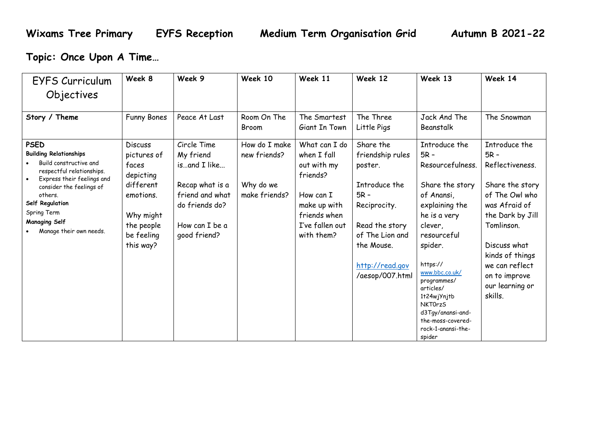**Topic: Once Upon A Time…**

| EYFS Curriculum                                                                                                                                                                                                                                               | Week 8                                                                                                                              | Week 9                                                                                                                             | Week 10                                                     | Week 11                                                                                                                               | Week 12                                                                                                                                                                      | Week 13                                                                                                                                                                                                                                                                                                                  | Week 14                                                                                                                                                                                                                                |
|---------------------------------------------------------------------------------------------------------------------------------------------------------------------------------------------------------------------------------------------------------------|-------------------------------------------------------------------------------------------------------------------------------------|------------------------------------------------------------------------------------------------------------------------------------|-------------------------------------------------------------|---------------------------------------------------------------------------------------------------------------------------------------|------------------------------------------------------------------------------------------------------------------------------------------------------------------------------|--------------------------------------------------------------------------------------------------------------------------------------------------------------------------------------------------------------------------------------------------------------------------------------------------------------------------|----------------------------------------------------------------------------------------------------------------------------------------------------------------------------------------------------------------------------------------|
| Objectives                                                                                                                                                                                                                                                    |                                                                                                                                     |                                                                                                                                    |                                                             |                                                                                                                                       |                                                                                                                                                                              |                                                                                                                                                                                                                                                                                                                          |                                                                                                                                                                                                                                        |
| Story / Theme                                                                                                                                                                                                                                                 | Funny Bones                                                                                                                         | Peace At Last                                                                                                                      | Room On The<br>Broom                                        | The Smartest<br>Giant In Town                                                                                                         | The Three<br>Little Pigs                                                                                                                                                     | Jack And The<br>Beanstalk                                                                                                                                                                                                                                                                                                | The Snowman                                                                                                                                                                                                                            |
| <b>PSED</b><br><b>Building Relationships</b><br>Build constructive and<br>respectful relationships.<br>Express their feelings and<br>consider the feelings of<br>others.<br>Self Regulation<br>Spring Term<br><b>Managing Self</b><br>Manage their own needs. | <b>Discuss</b><br>pictures of<br>faces<br>depicting<br>different<br>emotions.<br>Why might<br>the people<br>be feeling<br>this way? | Circle Time<br>My friend<br>isand I like<br>Recap what is a<br>friend and what<br>do friends do?<br>How can I be a<br>good friend? | How do I make<br>new friends?<br>Why do we<br>make friends? | What can I do<br>when I fall<br>out with my<br>friends?<br>How can I<br>make up with<br>friends when<br>I've fallen out<br>with them? | Share the<br>friendship rules<br>poster.<br>Introduce the<br>$5R -$<br>Reciprocity.<br>Read the story<br>of The Lion and<br>the Mouse.<br>http://read.gov<br>/aesop/007.html | Introduce the<br>$5R -$<br>Resourcefulness.<br>Share the story<br>of Anansi,<br>explaining the<br>he is a very<br>clever,<br>resourceful<br>spider.<br>https://<br>www.bbc.co.uk/<br>programmes/<br>articles/<br>1+24wjYnj+b<br><b>NKTOrzS</b><br>d3Tgy/anansi-and-<br>the-moss-covered-<br>rock-1-anansi-the-<br>spider | Introduce the<br>$5R -$<br>Reflectiveness.<br>Share the story<br>of The Owl who<br>was Afraid of<br>the Dark by Jill<br>Tomlinson.<br>Discuss what<br>kinds of things<br>we can reflect<br>on to improve<br>our learning or<br>skills. |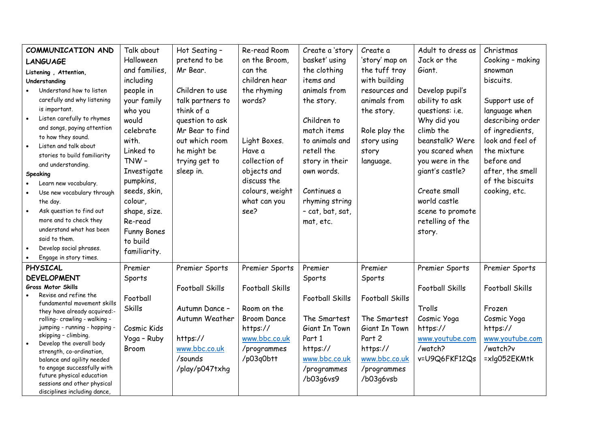| COMMUNICATION AND                                                | Talk about         | Hot Seating -          | Re-read Room           | Create a 'story        | Create a               | Adult to dress as      | Christmas              |
|------------------------------------------------------------------|--------------------|------------------------|------------------------|------------------------|------------------------|------------------------|------------------------|
| <b>LANGUAGE</b>                                                  | Halloween          | pretend to be          | on the Broom,          | basket' using          | 'story' map on         | Jack or the            | Cooking - making       |
| Listening, Attention,                                            | and families,      | Mr Bear.               | can the                | the clothing           | the tuff tray          | Giant.                 | snowman                |
| Understanding                                                    | including          |                        | children hear          | items and              | with building          |                        | biscuits.              |
| Understand how to listen                                         | people in          | Children to use        | the rhyming            | animals from           | resources and          | Develop pupil's        |                        |
| carefully and why listening                                      | your family        | talk partners to       | words?                 | the story.             | animals from           | ability to ask         | Support use of         |
| is important.                                                    | who you            | think of a             |                        |                        | the story.             | questions: i.e.        | language when          |
| Listen carefully to rhymes                                       | would              | question to ask        |                        | Children to            |                        | Why did you            | describing order       |
| and songs, paying attention                                      | celebrate          | Mr Bear to find        |                        | match items            | Role play the          | climb the              | of ingredients,        |
| to how they sound.                                               | with.              | out which room         | Light Boxes.           | to animals and         | story using            | beanstalk? Were        | look and feel of       |
| Listen and talk about                                            | Linked to          | he might be            | Have a                 | retell the             | story                  | you scared when        | the mixture            |
| stories to build familiarity                                     | TNW-               | trying get to          | collection of          | story in their         | language.              | you were in the        | before and             |
| and understanding.                                               | Investigate        | sleep in.              | objects and            | own words.             |                        | giant's castle?        | after, the smell       |
| Speaking                                                         | pumpkins,          |                        | discuss the            |                        |                        |                        | of the biscuits        |
| Learn new vocabulary.<br>$\bullet$<br>Use new vocabulary through | seeds, skin,       |                        | colours, weight        | Continues a            |                        | Create small           | cooking, etc.          |
| the day.                                                         | colour,            |                        | what can you           | rhyming string         |                        | world castle           |                        |
| Ask question to find out<br>$\bullet$                            | shape, size.       |                        | see?                   | - cat, bat, sat,       |                        | scene to promote       |                        |
| more and to check they                                           | Re-read            |                        |                        | mat, etc.              |                        | retelling of the       |                        |
| understand what has been                                         | <b>Funny Bones</b> |                        |                        |                        |                        |                        |                        |
| said to them.                                                    | to build           |                        |                        |                        |                        | story.                 |                        |
| Develop social phrases.<br>$\bullet$                             |                    |                        |                        |                        |                        |                        |                        |
| Engage in story times.                                           | familiarity.       |                        |                        |                        |                        |                        |                        |
| <b>PHYSICAL</b>                                                  | Premier            | Premier Sports         | Premier Sports         | Premier                | Premier                | Premier Sports         | Premier Sports         |
| <b>DEVELOPMENT</b>                                               | Sports             |                        |                        | Sports                 | Sports                 |                        |                        |
| <b>Gross Motor Skills</b>                                        |                    | <b>Football Skills</b> | <b>Football Skills</b> |                        |                        | <b>Football Skills</b> | <b>Football Skills</b> |
| Revise and refine the                                            | Football           |                        |                        | <b>Football Skills</b> | <b>Football Skills</b> |                        |                        |
| fundamental movement skills                                      | <b>Skills</b>      | Autumn Dance -         | Room on the            |                        |                        | Trolls                 | Frozen                 |
| they have already acquired:-<br>rolling- crawling - walking -    |                    | Autumn Weather         | <b>Broom Dance</b>     | The Smartest           | The Smartest           | Cosmic Yoga            | Cosmic Yoga            |
| jumping - running - hopping                                      | Cosmic Kids        |                        | https://               | Giant In Town          | Giant In Town          | https://               | https://               |
| skipping - climbing.                                             | Yoga - Ruby        | https://               | www.bbc.co.uk          | Part 1                 | Part 2                 | www.youtube.com        | www.youtube.com        |
| Develop the overall body                                         | Broom              | www.bbc.co.uk          | /programmes            | https://               | https://               | /watch?                | /watch?v               |
| strength, co-ordination,<br>balance and agility needed           |                    | /sounds                | /p03q0btt              | www.bbc.co.uk          | www.bbc.co.uk          | v=U9Q6FKF12Qs          | =xlg052EKMtk           |
| to engage successfully with                                      |                    | /play/p047txhg         |                        | /programmes            | /programmes            |                        |                        |
| future physical education                                        |                    |                        |                        | /b03q6vs9              | /b03q6vsb              |                        |                        |
| sessions and other physical                                      |                    |                        |                        |                        |                        |                        |                        |
| disciplines including dance,                                     |                    |                        |                        |                        |                        |                        |                        |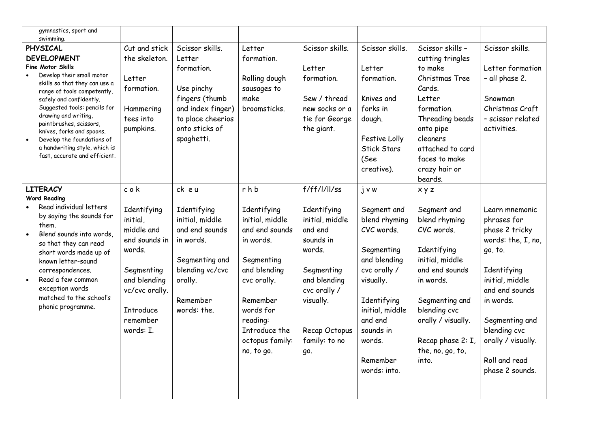| gymnastics, sport and<br>swimming.                                                                                                                                                                                                                                                                                                                                                                 |                                                                                                                                                                      |                                                                                                                                                   |                                                                                                                                                                                                          |                                                                                                                                                                                      |                                                                                                                                                                                                                     |                                                                                                                                                                                                                                |                                                                                                                                                                                                                                               |
|----------------------------------------------------------------------------------------------------------------------------------------------------------------------------------------------------------------------------------------------------------------------------------------------------------------------------------------------------------------------------------------------------|----------------------------------------------------------------------------------------------------------------------------------------------------------------------|---------------------------------------------------------------------------------------------------------------------------------------------------|----------------------------------------------------------------------------------------------------------------------------------------------------------------------------------------------------------|--------------------------------------------------------------------------------------------------------------------------------------------------------------------------------------|---------------------------------------------------------------------------------------------------------------------------------------------------------------------------------------------------------------------|--------------------------------------------------------------------------------------------------------------------------------------------------------------------------------------------------------------------------------|-----------------------------------------------------------------------------------------------------------------------------------------------------------------------------------------------------------------------------------------------|
| PHYSICAL<br><b>DEVELOPMENT</b><br><b>Fine Motor Skills</b><br>Develop their small motor<br>skills so that they can use a<br>range of tools competently,<br>safely and confidently.<br>Suggested tools: pencils for<br>drawing and writing,<br>paintbrushes, scissors,<br>knives, forks and spoons.<br>Develop the foundations of<br>a handwriting style, which is<br>fast, accurate and efficient. | Cut and stick<br>the skeleton.<br>Letter<br>formation.<br>Hammering<br>tees into<br>pumpkins.                                                                        | Scissor skills.<br>Letter<br>formation.<br>Use pinchy<br>fingers (thumb<br>and index finger)<br>to place cheerios<br>onto sticks of<br>spaghetti. | Letter<br>formation.<br>Rolling dough<br>sausages to<br>make<br>broomsticks.                                                                                                                             | Scissor skills.<br>Letter<br>formation.<br>Sew / thread<br>new socks or a<br>tie for George<br>the giant.                                                                            | Scissor skills.<br>Letter<br>formation.<br>Knives and<br>forks in<br>dough.<br>Festive Lolly<br><b>Stick Stars</b><br>(See<br>creative).                                                                            | Scissor skills -<br>cutting tringles<br>to make<br>Christmas Tree<br>Cards.<br>Letter<br>formation.<br>Threading beads<br>onto pipe<br>cleaners<br>attached to card<br>faces to make<br>crazy hair or<br>beards.               | Scissor skills.<br>Letter formation<br>- all phase 2.<br>Snowman<br>Christmas Craft<br>- scissor related<br>activities.                                                                                                                       |
| <b>LITERACY</b><br><b>Word Reading</b><br>Read individual letters<br>by saying the sounds for<br>them.<br>Blend sounds into words,<br>so that they can read<br>short words made up of<br>known letter-sound<br>correspondences.<br>Read a few common<br>exception words<br>matched to the school's<br>phonic programme.                                                                            | cok<br>Identifying<br>initial,<br>middle and<br>end sounds in<br>words.<br>Segmenting<br>and blending<br>vc/cvc orally.<br><b>Introduce</b><br>remember<br>words: I. | ck eu<br>Identifying<br>initial, middle<br>and end sounds<br>in words.<br>Segmenting and<br>blending vc/cvc<br>orally.<br>Remember<br>words: the. | rhb<br>Identifying<br>initial, middle<br>and end sounds<br>in words.<br>Segmenting<br>and blending<br>cvc orally.<br>Remember<br>words for<br>reading:<br>Introduce the<br>octopus family:<br>no, to go. | f/ff/l/ll/ss<br>Identifying<br>initial, middle<br>and end<br>sounds in<br>words.<br>Segmenting<br>and blending<br>cvc orally /<br>visually.<br>Recap Octopus<br>family: to no<br>go. | $j \vee w$<br>Segment and<br>blend rhyming<br>CVC words.<br>Segmenting<br>and blending<br>cvc orally /<br>visually.<br>Identifying<br>initial, middle<br>and end<br>sounds in<br>words.<br>Remember<br>words: into. | x y z<br>Segment and<br>blend rhyming<br>CVC words.<br>Identifying<br>initial, middle<br>and end sounds<br>in words.<br>Segmenting and<br>blending cvc<br>orally / visually.<br>Recap phase 2: I,<br>the, no, go, to,<br>into. | Learn mnemonic<br>phrases for<br>phase 2 tricky<br>words: the, I, no,<br>go, to.<br>Identifying<br>initial, middle<br>and end sounds<br>in words.<br>Segmenting and<br>blending cvc<br>orally / visually.<br>Roll and read<br>phase 2 sounds. |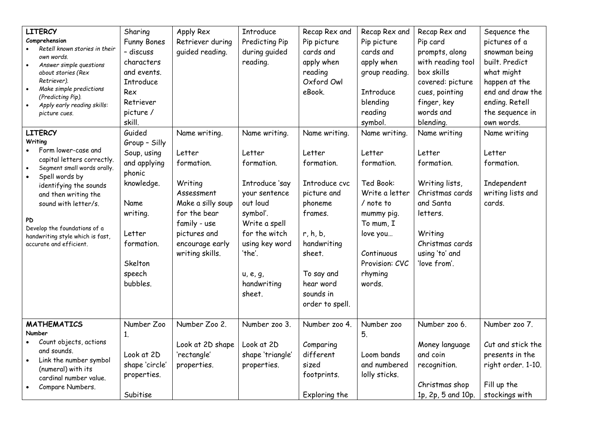| <b>LITERCY</b><br>Comprehension<br>Retell known stories in their<br>own words.<br>Answer simple questions<br>about stories (Rex<br>Retriever).<br>Make simple predictions<br>$\bullet$<br>(Predicting Pip).<br>Apply early reading skills:<br>$\bullet$<br>picture cues.                                                                 | Sharing<br><b>Funny Bones</b><br>- discuss<br>characters<br>and events.<br><b>Introduce</b><br>Rex<br>Retriever<br>picture /<br>skill.                      | Apply Rex<br>Retriever during<br>quided reading.                                                                                                                          | <b>Introduce</b><br>Predicting Pip<br>during guided<br>reading.                                                                                                                                     | Recap Rex and<br>Pip picture<br>cards and<br>apply when<br>reading<br>Oxford Owl<br>eBook.                                                                                                  | Recap Rex and<br>Pip picture<br>cards and<br>apply when<br>group reading.<br>Introduce<br>blending<br>reading<br>symbol.                                                      | Recap Rex and<br>Pip card<br>prompts, along<br>with reading tool<br>box skills<br>covered: picture<br>cues, pointing<br>finger, key<br>words and<br>blending.      | Sequence the<br>pictures of a<br>snowman being<br>built. Predict<br>what might<br>happen at the<br>end and draw the<br>ending. Retell<br>the sequence in<br>own words. |
|------------------------------------------------------------------------------------------------------------------------------------------------------------------------------------------------------------------------------------------------------------------------------------------------------------------------------------------|-------------------------------------------------------------------------------------------------------------------------------------------------------------|---------------------------------------------------------------------------------------------------------------------------------------------------------------------------|-----------------------------------------------------------------------------------------------------------------------------------------------------------------------------------------------------|---------------------------------------------------------------------------------------------------------------------------------------------------------------------------------------------|-------------------------------------------------------------------------------------------------------------------------------------------------------------------------------|--------------------------------------------------------------------------------------------------------------------------------------------------------------------|------------------------------------------------------------------------------------------------------------------------------------------------------------------------|
| <b>LITERCY</b><br>Writing<br>Form lower-case and<br>capital letters correctly.<br>Segment small words orally.<br>$\bullet$<br>Spell words by<br>$\bullet$<br>identifying the sounds<br>and then writing the<br>sound with letter/s.<br>PD<br>Develop the foundations of a<br>handwriting style which is fast,<br>accurate and efficient. | Guided<br>Group - Silly<br>Soup, using<br>and applying<br>phonic<br>knowledge.<br>Name<br>writing.<br>Letter<br>formation.<br>Skelton<br>speech<br>bubbles. | Name writing.<br>Letter<br>formation.<br>Writing<br>Assessment<br>Make a silly soup<br>for the bear<br>family - use<br>pictures and<br>encourage early<br>writing skills. | Name writing.<br>Letter<br>formation.<br>Introduce 'say<br>your sentence<br>out loud<br>symbol'.<br>Write a spell<br>for the witch<br>using key word<br>'the'.<br>u, e, g,<br>handwriting<br>sheet. | Name writing.<br>Letter<br>formation.<br>Introduce cvc<br>picture and<br>phoneme<br>frames.<br>r, h, b,<br>handwriting<br>sheet.<br>To say and<br>hear word<br>sounds in<br>order to spell. | Name writing.<br>Letter<br>formation.<br>Ted Book:<br>Write a letter<br>/ note to<br>mummy pig.<br>To mum, I<br>love you<br>Continuous<br>Provision: CVC<br>rhyming<br>words. | Name writing<br>Letter<br>formation.<br>Writing lists,<br>Christmas cards<br>and Santa<br>letters.<br>Writing<br>Christmas cards<br>using 'to' and<br>'love from'. | Name writing<br>Letter<br>formation.<br>Independent<br>writing lists and<br>cards.                                                                                     |
| <b>MATHEMATICS</b><br>Number<br>Count objects, actions<br>and sounds.<br>Link the number symbol<br>$\bullet$<br>(numeral) with its<br>cardinal number value.<br>Compare Numbers.<br>$\bullet$                                                                                                                                            | Number Zoo<br>1.<br>Look at 2D<br>shape 'circle'<br>properties.<br>Subitise                                                                                 | Number Zoo 2.<br>Look at 2D shape<br>'rectangle'<br>properties.                                                                                                           | Number zoo 3.<br>Look at 2D<br>shape 'triangle'<br>properties.                                                                                                                                      | Number zoo 4.<br>Comparing<br>different<br>sized<br>footprints.<br>Exploring the                                                                                                            | Number zoo<br>5.<br>Loom bands<br>and numbered<br>lolly sticks.                                                                                                               | Number zoo 6.<br>Money language<br>and coin<br>recognition.<br>Christmas shop<br>1p, 2p, 5 and 10p.                                                                | Number zoo 7.<br>Cut and stick the<br>presents in the<br>right order. 1-10.<br>Fill up the<br>stockings with                                                           |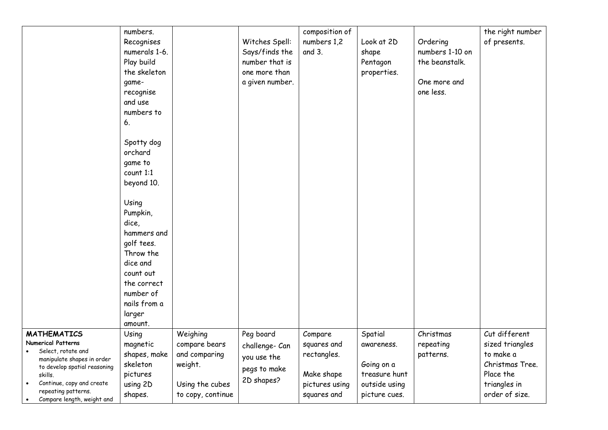|                                                                                                                                                                                                                                  | numbers.<br>Recognises<br>numerals 1-6.<br>Play build<br>the skeleton<br>game-<br>recognise<br>and use<br>numbers to<br>6.<br>Spotty dog<br>orchard<br>game to<br>count 1:1<br>beyond 10.<br>Using<br>Pumpkin,<br>dice,<br>hammers and<br>golf tees. |                                                                                               | Witches Spell:<br>Says/finds the<br>number that is<br>one more than<br>a given number. | composition of<br>numbers 1,2<br>and 3.                                              | Look at 2D<br>shape<br>Pentagon<br>properties.                                         | Ordering<br>numbers 1-10 on<br>the beanstalk.<br>One more and<br>one less. | the right number<br>of presents.                                                                                |
|----------------------------------------------------------------------------------------------------------------------------------------------------------------------------------------------------------------------------------|------------------------------------------------------------------------------------------------------------------------------------------------------------------------------------------------------------------------------------------------------|-----------------------------------------------------------------------------------------------|----------------------------------------------------------------------------------------|--------------------------------------------------------------------------------------|----------------------------------------------------------------------------------------|----------------------------------------------------------------------------|-----------------------------------------------------------------------------------------------------------------|
| <b>MATHEMATICS</b><br><b>Numerical Patterns</b><br>Select, rotate and<br>manipulate shapes in order<br>to develop spatial reasoning<br>skills.<br>Continue, copy and create<br>repeating patterns.<br>Compare length, weight and | Throw the<br>dice and<br>count out<br>the correct<br>number of<br>nails from a<br>larger<br>amount.<br>Using<br>magnetic<br>shapes, make<br>skeleton<br>pictures<br>using 2D<br>shapes.                                                              | Weighing<br>compare bears<br>and comparing<br>weight.<br>Using the cubes<br>to copy, continue | Peg board<br>challenge- Can<br>you use the<br>pegs to make<br>2D shapes?               | Compare<br>squares and<br>rectangles.<br>Make shape<br>pictures using<br>squares and | Spatial<br>awareness.<br>Going on a<br>treasure hunt<br>outside using<br>picture cues. | Christmas<br>repeating<br>patterns.                                        | Cut different<br>sized triangles<br>to make a<br>Christmas Tree.<br>Place the<br>triangles in<br>order of size. |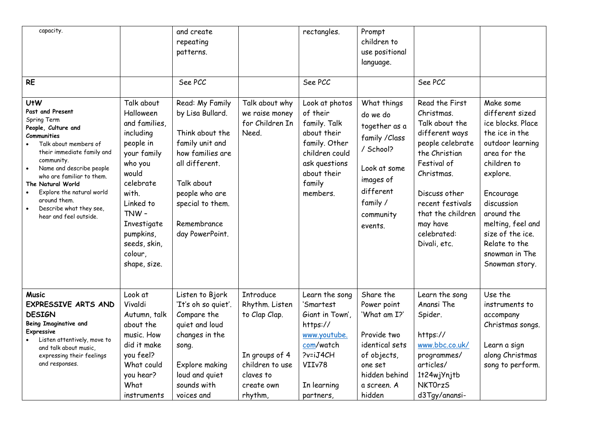| capacity.<br><b>RE</b>                                                                                                                                                                                                                                                                                                                                                          |                                                                                                                                                                                                                         | and create<br>repeating<br>patterns.<br>See PCC                                                                                                                                                       |                                                                                                                                | rectangles.<br>See PCC                                                                                                                             | Prompt<br>children to<br>use positional<br>language.                                                                                                  | See PCC                                                                                                                                                                                                                                 |                                                                                                                                                                                                                                                                           |
|---------------------------------------------------------------------------------------------------------------------------------------------------------------------------------------------------------------------------------------------------------------------------------------------------------------------------------------------------------------------------------|-------------------------------------------------------------------------------------------------------------------------------------------------------------------------------------------------------------------------|-------------------------------------------------------------------------------------------------------------------------------------------------------------------------------------------------------|--------------------------------------------------------------------------------------------------------------------------------|----------------------------------------------------------------------------------------------------------------------------------------------------|-------------------------------------------------------------------------------------------------------------------------------------------------------|-----------------------------------------------------------------------------------------------------------------------------------------------------------------------------------------------------------------------------------------|---------------------------------------------------------------------------------------------------------------------------------------------------------------------------------------------------------------------------------------------------------------------------|
| <b>UtW</b><br>Past and Present<br>Spring Term<br>People, Culture and<br>Communities<br>Talk about members of<br>their immediate family and<br>community.<br>Name and describe people<br>$\bullet$<br>who are familiar to them.<br>The Natural World<br>Explore the natural world<br>$\bullet$<br>around them.<br>Describe what they see,<br>$\bullet$<br>hear and feel outside. | Talk about<br>Halloween<br>and families,<br>including<br>people in<br>your family<br>who you<br>would<br>celebrate<br>with.<br>Linked to<br>TNW-<br>Investigate<br>pumpkins,<br>seeds, skin,<br>colour,<br>shape, size. | Read: My Family<br>by Lisa Bullard.<br>Think about the<br>family unit and<br>how families are<br>all different.<br>Talk about<br>people who are<br>special to them.<br>Remembrance<br>day PowerPoint. | Talk about why<br>we raise money<br>for Children In<br>Need.                                                                   | Look at photos<br>of their<br>family. Talk<br>about their<br>family. Other<br>children could<br>ask questions<br>about their<br>family<br>members. | What things<br>do we do<br>together as a<br>family / Class<br>/ School?<br>Look at some<br>images of<br>different<br>family /<br>community<br>events. | Read the First<br>Christmas.<br>Talk about the<br>different ways<br>people celebrate<br>the Christian<br>Festival of<br>Christmas.<br>Discuss other<br>recent festivals<br>that the children<br>may have<br>celebrated:<br>Divali, etc. | Make some<br>different sized<br>ice blocks, Place<br>the ice in the<br>outdoor learning<br>area for the<br>children to<br>explore.<br>Encourage<br>discussion<br>around the<br>melting, feel and<br>size of the ice.<br>Relate to the<br>snowman in The<br>Snowman story. |
| <b>Music</b><br>EXPRESSIVE ARTS AND<br><b>DESIGN</b><br><b>Being Imaginative and</b><br>Expressive<br>Listen attentively, move to<br>and talk about music,<br>expressing their feelings<br>and responses.                                                                                                                                                                       | Look at<br>Vivaldi<br>Autumn, talk<br>about the<br>music. How<br>did it make<br>you feel?<br>What could<br>you hear?<br>What<br>instruments                                                                             | Listen to Bjork<br>'It's oh so quiet'.<br>Compare the<br>quiet and loud<br>changes in the<br>song.<br>Explore making<br>loud and quiet<br>sounds with<br>voices and                                   | <b>Introduce</b><br>Rhythm. Listen<br>to Clap Clap.<br>In groups of 4<br>children to use<br>claves to<br>create own<br>rhythm, | Learn the song<br>'Smartest<br>Giant in Town',<br>https://<br>www.youtube.<br>com/watch<br>?v=iJ4CH<br>VIIv78<br>In learning<br>partners           | Share the<br>Power point<br>'What am I?'<br>Provide two<br>identical sets<br>of objects,<br>one set<br>hidden behind<br>a screen. A<br>hidden         | Learn the song<br>Anansi The<br>Spider.<br>https://<br>www.bbc.co.uk/<br>programmes/<br>articles/<br>1+24wjYnj+b<br><b>NKTOrzS</b><br>d3Tgy/anansi-                                                                                     | Use the<br>instruments to<br>accompany<br>Christmas songs.<br>Learn a sign<br>along Christmas<br>song to perform.                                                                                                                                                         |